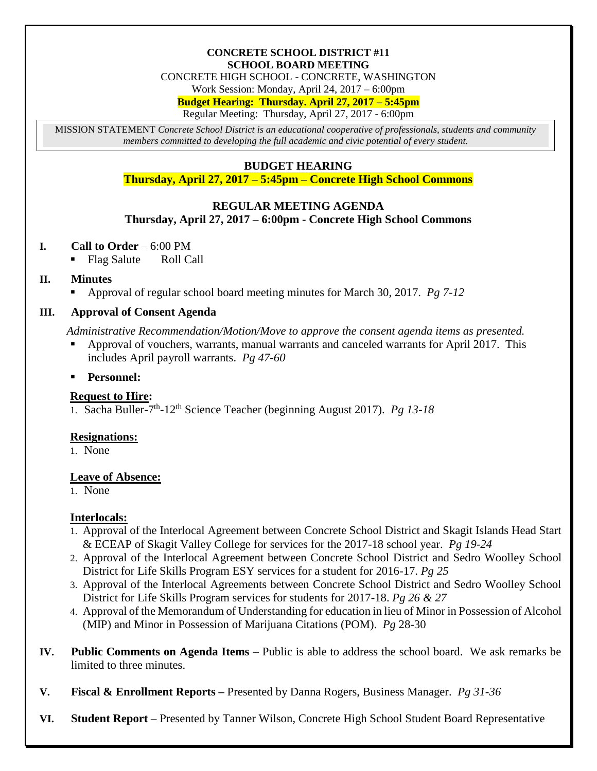#### **CONCRETE SCHOOL DISTRICT #11 SCHOOL BOARD MEETING**

CONCRETE HIGH SCHOOL - CONCRETE, WASHINGTON

Work Session: Monday, April 24, 2017 – 6:00pm

**Budget Hearing: Thursday. April 27, 2017 – 5:45pm**

Regular Meeting: Thursday, April 27, 2017 - 6:00pm

MISSION STATEMENT *Concrete School District is an educational cooperative of professionals, students and community members committed to developing the full academic and civic potential of every student.*

# **BUDGET HEARING**

**Thursday, April 27, 2017 – 5:45pm – Concrete High School Commons**

# **REGULAR MEETING AGENDA**

### **Thursday, April 27, 2017 – 6:00pm - Concrete High School Commons**

### **I. Call to Order** – 6:00 PM

Flag Salute Roll Call

## **II. Minutes**

Approval of regular school board meeting minutes for March 30, 2017. *Pg 7-12*

## **III. Approval of Consent Agenda**

*Administrative Recommendation/Motion/Move to approve the consent agenda items as presented.*

- Approval of vouchers, warrants, manual warrants and canceled warrants for April 2017. This includes April payroll warrants. *Pg 47-60*
- **Personnel:**

## **Request to Hire:**

1. Sacha Buller-7 th -12th Science Teacher (beginning August 2017). *Pg 13-18*

## **Resignations:**

1. None

#### **Leave of Absence:**

1. None

#### **Interlocals:**

- 1. Approval of the Interlocal Agreement between Concrete School District and Skagit Islands Head Start & ECEAP of Skagit Valley College for services for the 2017-18 school year. *Pg 19-24*
- 2. Approval of the Interlocal Agreement between Concrete School District and Sedro Woolley School District for Life Skills Program ESY services for a student for 2016-17. *Pg 25*
- 3. Approval of the Interlocal Agreements between Concrete School District and Sedro Woolley School District for Life Skills Program services for students for 2017-18. *Pg 26 & 27*
- 4. Approval of the Memorandum of Understanding for education in lieu of Minor in Possession of Alcohol (MIP) and Minor in Possession of Marijuana Citations (POM). *Pg* 28-30
- **IV. Public Comments on Agenda Items** Public is able to address the school board. We ask remarks be limited to three minutes.
- **V. Fiscal & Enrollment Reports –** Presented by Danna Rogers, Business Manager. *Pg 31-36*
- **VI. Student Report** Presented by Tanner Wilson, Concrete High School Student Board Representative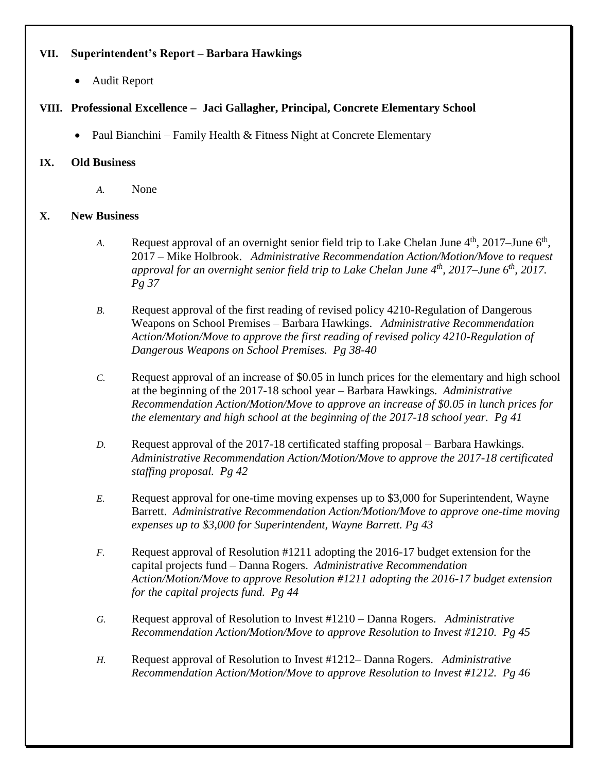## **VII. Superintendent's Report – Barbara Hawkings**

Audit Report

# **VIII. Professional Excellence – Jaci Gallagher, Principal, Concrete Elementary School**

• Paul Bianchini – Family Health  $&$  Fitness Night at Concrete Elementary

### **IX. Old Business**

*A.* None

### **X. New Business**

- *A.* Request approval of an overnight senior field trip to Lake Chelan June  $4<sup>th</sup>$ , 2017–June  $6<sup>th</sup>$ , 2017 – Mike Holbrook. *Administrative Recommendation Action/Motion/Move to request approval for an overnight senior field trip to Lake Chelan June 4th, 2017–June 6th, 2017. Pg 37*
- *B.* Request approval of the first reading of revised policy 4210-Regulation of Dangerous Weapons on School Premises – Barbara Hawkings. *Administrative Recommendation Action/Motion/Move to approve the first reading of revised policy 4210-Regulation of Dangerous Weapons on School Premises. Pg 38-40*
- *C.* Request approval of an increase of \$0.05 in lunch prices for the elementary and high school at the beginning of the 2017-18 school year – Barbara Hawkings. *Administrative Recommendation Action/Motion/Move to approve an increase of \$0.05 in lunch prices for the elementary and high school at the beginning of the 2017-18 school year. Pg 41*
- *D.* Request approval of the 2017-18 certificated staffing proposal Barbara Hawkings. *Administrative Recommendation Action/Motion/Move to approve the 2017-18 certificated staffing proposal. Pg 42*
- *E.* Request approval for one-time moving expenses up to \$3,000 for Superintendent, Wayne Barrett. *Administrative Recommendation Action/Motion/Move to approve one-time moving expenses up to \$3,000 for Superintendent, Wayne Barrett. Pg 43*
- *F.* Request approval of Resolution #1211 adopting the 2016-17 budget extension for the capital projects fund – Danna Rogers. *Administrative Recommendation Action/Motion/Move to approve Resolution #1211 adopting the 2016-17 budget extension for the capital projects fund. Pg 44*
- *G.* Request approval of Resolution to Invest #1210 Danna Rogers. *Administrative Recommendation Action/Motion/Move to approve Resolution to Invest #1210. Pg 45*
- *H.* Request approval of Resolution to Invest #1212– Danna Rogers. *Administrative Recommendation Action/Motion/Move to approve Resolution to Invest #1212. Pg 46*